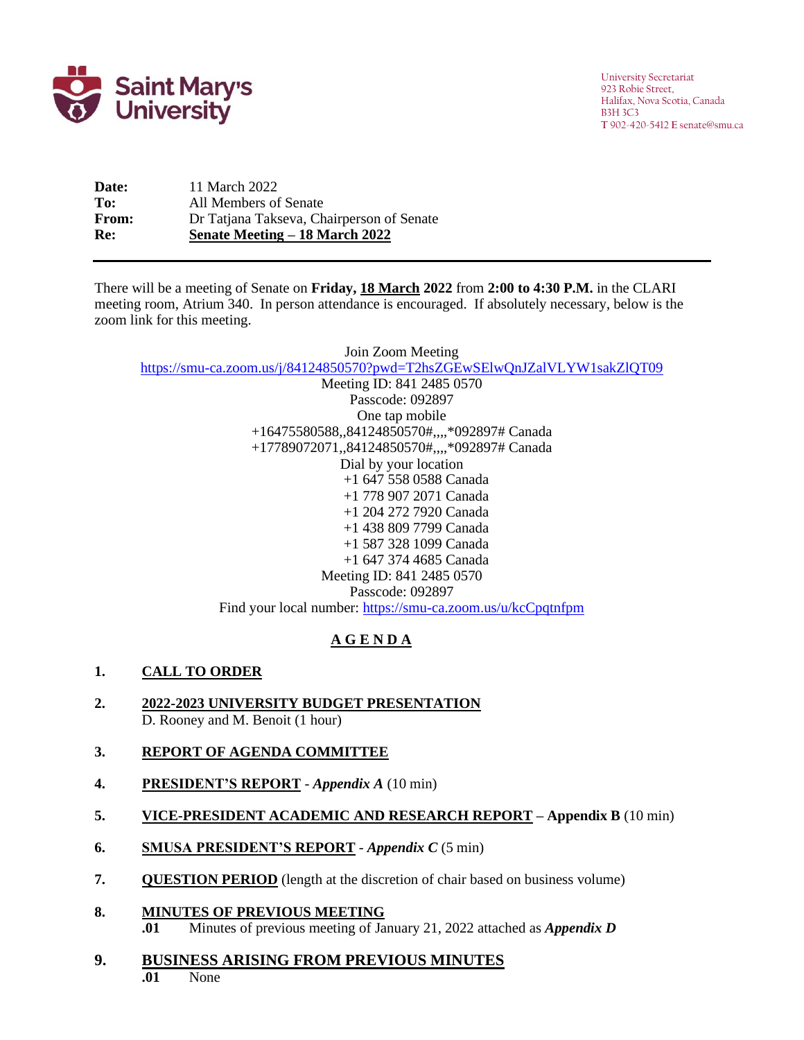

University Secretariat 923 Robie Street, Halifax, Nova Scotia, Canada B3H 3C3 **T** 902-420-5412 **E** senate@smu.ca

**Date:** 11 March 2022 **To:** All Members of Senate **From:** Dr Tatjana Takseva, Chairperson of Senate **Re: Senate Meeting – 18 March 2022**

There will be a meeting of Senate on Friday, 18 March 2022 from 2:00 to 4:30 P.M. in the CLARI meeting room, Atrium 340. In person attendance is encouraged. If absolutely necessary, below is the zoom link for this meeting.

Join Zoom Meeting <https://smu-ca.zoom.us/j/84124850570?pwd=T2hsZGEwSElwQnJZalVLYW1sakZlQT09>

Meeting ID: 841 2485 0570 Passcode: 092897 One tap mobile +16475580588,,84124850570#,,,,\*092897# Canada +17789072071,,84124850570#,,,,\*092897# Canada Dial by your location +1 647 558 0588 Canada +1 778 907 2071 Canada +1 204 272 7920 Canada +1 438 809 7799 Canada +1 587 328 1099 Canada +1 647 374 4685 Canada Meeting ID: 841 2485 0570 Passcode: 092897 Find your local number:<https://smu-ca.zoom.us/u/kcCpqtnfpm>

# **A G E N D A**

# **1. CALL TO ORDER**

**2. 2022-2023 UNIVERSITY BUDGET PRESENTATION** D. Rooney and M. Benoit (1 hour)

# **3. REPORT OF AGENDA COMMITTEE**

- **4. PRESIDENT'S REPORT** *Appendix A* (10 min)
- **5. VICE-PRESIDENT ACADEMIC AND RESEARCH REPORT – Appendix B** (10 min)
- **6. SMUSA PRESIDENT'S REPORT** *Appendix C* (5 min)
- **7. QUESTION PERIOD** (length at the discretion of chair based on business volume)
- **8. MINUTES OF PREVIOUS MEETING**
	- **.01** Minutes of previous meeting of January 21, 2022 attached as *Appendix D*
- **9. BUSINESS ARISING FROM PREVIOUS MINUTES .01** None